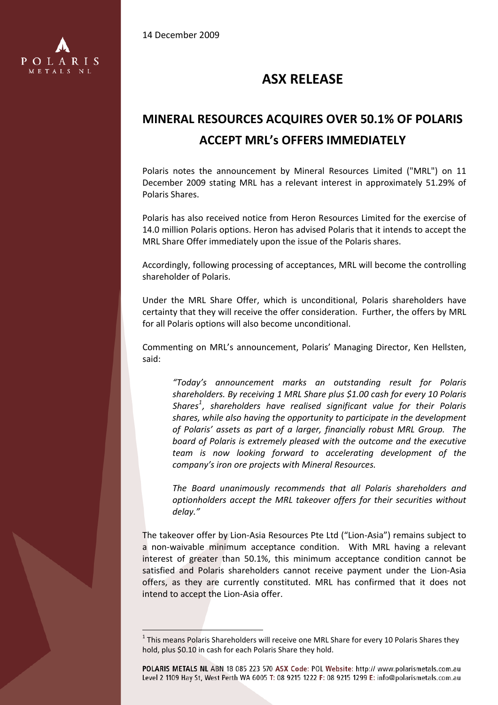14 December 2009

i<br>L



## **ASX RELEASE**

## **MINERAL RESOURCES ACQUIRES OVER 50.1% OF POLARIS ACCEPT MRL's OFFERS IMMEDIATELY**

Polaris notes the announcement by Mineral Resources Limited ("MRL") on 11 December 2009 stating MRL has a relevant interest in approximately 51.29% of Polaris Shares.

Polaris has also received notice from Heron Resources Limited for the exercise of 14.0 million Polaris options. Heron has advised Polaris that it intends to accept the MRL Share Offer immediately upon the issue of the Polaris shares.

Accordingly, following processing of acceptances, MRL will become the controlling shareholder of Polaris.

Under the MRL Share Offer, which is unconditional, Polaris shareholders have certainty that they will receive the offer consideration. Further, the offers by MRL for all Polaris options will also become unconditional.

Commenting on MRL's announcement, Polaris' Managing Director, Ken Hellsten, said:

*"Today's announcement marks an outstanding result for Polaris shareholders. By receiving 1 MRL Share plus \$1.00 cash for every 10 Polaris Shares[1](#page-0-0) , shareholders have realised significant value for their Polaris shares, while also having the opportunity to participate in the development of Polaris' assets as part of a larger, financially robust MRL Group. The board of Polaris is extremely pleased with the outcome and the executive team is now looking forward to accelerating development of the company's iron ore projects with Mineral Resources.*

*The Board unanimously recommends that all Polaris shareholders and optionholders accept the MRL takeover offers for their securities without delay."* 

The takeover offer by Lion‐Asia Resources Pte Ltd ("Lion‐Asia") remains subject to a non‐waivable minimum acceptance condition. With MRL having a relevant interest of greater than 50.1%, this minimum acceptance condition cannot be satisfied and Polaris shareholders cannot receive payment under the Lion‐Asia offers, as they are currently constituted. MRL has confirmed that it does not intend to accept the Lion‐Asia offer.

<span id="page-0-0"></span><sup>&</sup>lt;sup>1</sup> This means Polaris Shareholders will receive one MRL Share for every 10 Polaris Shares they hold, plus \$0.10 in cash for each Polaris Share they hold.

POLARIS METALS NL ABN 18 085 223 570 ASX Code: POL Website: http:// www.polarismetals.com.au Level 2 1109 Hay St. West Perth WA 6005 T: 08 9215 1222 F: 08 9215 1299 E: info@polarismetals.com.au